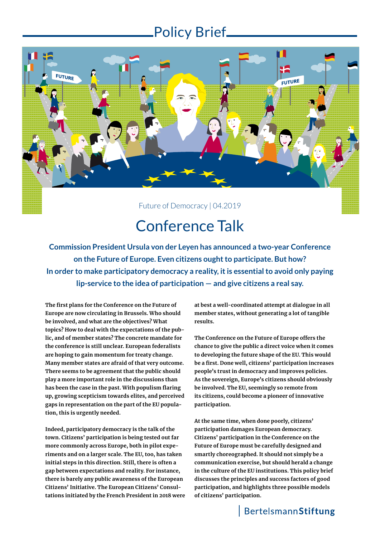

# Conference Talk

**Commission President Ursula von der Leyen has announced a two-year Conference on the Future of Europe. Even citizens ought to participate. But how? In order to make participatory democracy a reality, it is essential to avoid only paying lip-service to the idea of participation — and give citizens a real say.**

**The first plans for the Conference on the Future of Europe are now circulating in Brussels. Who should be involved, and what are the objectives? What topics? How to deal with the expectations of the public, and of member states? The concrete mandate for the conference is still unclear. European federalists are hoping to gain momentum for treaty change. Many member states are afraid of that very outcome. There seems to be agreement that the public should play a more important role in the discussions than has been the case in the past. With populism flaring up, growing scepticism towards elites, and perceived gaps in representation on the part of the EU population, this is urgently needed.** 

**Indeed, participatory democracy is the talk of the town. Citizens' participation is being tested out far more commonly across Europe, both in pilot experiments and on a larger scale. The EU, too, has taken initial steps in this direction. Still, there is often a gap between expectations and reality. For instance, there is barely any public awareness of the European Citizens' Initiative. The European Citizens' Consultations initiated by the French President in 2018 were**  **at best a well-coordinated attempt at dialogue in all member states, without generating a lot of tangible results.**

**The Conference on the Future of Europe offers the chance to give the public a direct voice when it comes to developing the future shape of the EU. This would be a first. Done well, citizens' participation increases people's trust in democracy and improves policies. As the sovereign, Europe's citizens should obviously be involved. The EU, seemingly so remote from its citizens, could become a pioneer of innovative participation.**

**At the same time, when done poorly, citizens' participation damages European democracy. Citizens' participation in the Conference on the Future of Europe must be carefully designed and smartly choreographed. It should not simply be a communication exercise, but should herald a change in the culture of the EU institutions. This policy brief discusses the principles and success factors of good participation, and highlights three possible models of citizens' participation.**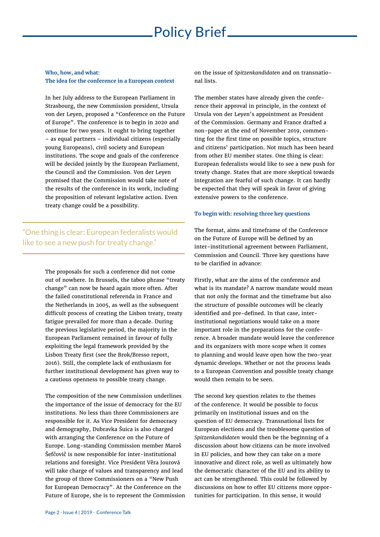### **Who, how, and what: The idea for the conference in a European context**

In her July address to the European Parliament in Strasbourg, the new Commission president, Ursula von der Leyen, proposed a "Conference on the Future of Europe". The conference is to begin in 2020 and continue for two years. It ought to bring together – as equal partners – individual citizens (especially young Europeans), civil society and European institutions. The scope and goals of the conference will be decided jointly by the European Parliament, the Council and the Commission. Von der Leyen promised that the Commission would take note of the results of the conference in its work, including the proposition of relevant legislative action. Even treaty change could be a possibility.

## "One thing is clear: European federalists would like to see a new push for treaty change."

The proposals for such a conference did not come out of nowhere. In Brussels, the taboo phrase "treaty change" can now be heard again more often. After the failed constitutional referenda in France and the Netherlands in 2005, as well as the subsequent difficult process of creating the Lisbon treaty, treaty fatigue prevailed for more than a decade. During the previous legislative period, the majority in the European Parliament remained in favour of fully exploiting the legal framework provided by the Lisbon Treaty first (see the Brok/Bresso report, 2016). Still, the complete lack of enthusiasm for further institutional development has given way to a cautious openness to possible treaty change.

The composition of the new Commission underlines the importance of the issue of democracy for the EU institutions. No less than three Commissioners are responsible for it. As Vice President for democracy and demography, Dubravka Šuica is also charged with arranging the Conference on the Future of Europe. Long-standing Commission member Maroš Šefčovič is now responsible for inter-institutional relations and foresight. Vice President Věra Jourová will take charge of values and transparency and lead the group of three Commissioners on a "New Push for European Democracy". At the Conference on the Future of Europe, she is to represent the Commission on the issue of *Spitzenkandidaten* and on transnational lists.

The member states have already given the conference their approval in principle, in the context of Ursula von der Leyen's appointment as President of the Commission. Germany and France drafted a non-paper at the end of November 2019, commenting for the first time on possible topics, structure and citizens' participation. Not much has been heard from other EU member states. One thing is clear: European federalists would like to see a new push for treaty change. States that are more skeptical towards integration are fearful of such change. It can hardly be expected that they will speak in favor of giving extensive powers to the conference.

### **To begin with: resolving three key questions**

The format, aims and timeframe of the Conference on the Future of Europe will be defined by an inter-institutional agreement between Parliament, Commission and Council. Three key questions have to be clarified in advance:

Firstly, what are the aims of the conference and what is its mandate? A narrow mandate would mean that not only the format and the timeframe but also the structure of possible outcomes will be clearly identified and pre-defined. In that case, interinstitutional negotiations would take on a more important role in the preparations for the conference. A broader mandate would leave the conference and its organizers with more scope when it comes to planning and would leave open how the two-year dynamic develops. Whether or not the process leads to a European Convention and possible treaty change would then remain to be seen.

The second key question relates to the themes of the conference. It would be possible to focus primarily on institutional issues and on the question of EU democracy. Transnational lists for European elections and the troublesome question of *Spitzenkandidaten* would then be the beginning of a discussion about how citizens can be more involved in EU policies, and how they can take on a more innovative and direct role, as well as ultimately how the democratic character of the EU and its ability to act can be strengthened. This could be followed by discussions on how to offer EU citizens more opportunities for participation. In this sense, it would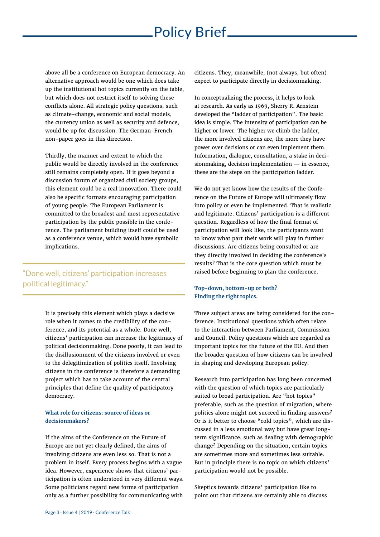above all be a conference on European democracy. An alternative approach would be one which does take up the institutional hot topics currently on the table, but which does not restrict itself to solving these conflicts alone. All strategic policy questions, such as climate-change, economic and social models, the currency union as well as security and defence, would be up for discussion. The German-French non-paper goes in this direction.

Thirdly, the manner and extent to which the public would be directly involved in the conference still remains completely open. If it goes beyond a discussion forum of organized civil society groups, this element could be a real innovation. There could also be specific formats encouraging participation of young people. The European Parliament is committed to the broadest and most representative participation by the public possible in the conference. The parliament building itself could be used as a conference venue, which would have symbolic implications.

### "Done well, citizens' participation increases political legitimacy."

It is precisely this element which plays a decisive role when it comes to the credibility of the conference, and its potential as a whole. Done well, citizens' participation can increase the legitimacy of political decisionmaking. Done poorly, it can lead to the disillusionment of the citizens involved or even to the delegitimization of politics itself. Involving citizens in the conference is therefore a demanding project which has to take account of the central principles that define the quality of participatory democracy.

### **What role for citizens: source of ideas or decisionmakers?**

If the aims of the Conference on the Future of Europe are not yet clearly defined, the aims of involving citizens are even less so. That is not a problem in itself. Every process begins with a vague idea. However, experience shows that citizens' participation is often understood in very different ways. Some politicians regard new forms of participation only as a further possibility for communicating with

citizens. They, meanwhile, (not always, but often) expect to participate directly in decisionmaking.

In conceptualizing the process, it helps to look at research. As early as 1969, Sherry R. Arnstein developed the "ladder of participation". The basic idea is simple. The intensity of participation can be higher or lower. The higher we climb the ladder, the more involved citizens are, the more they have power over decisions or can even implement them. Information, dialogue, consultation, a stake in decisionmaking, decision implementation — in essence, these are the steps on the participation ladder.

We do not yet know how the results of the Conference on the Future of Europe will ultimately flow into policy or even be implemented. That is realistic and legitimate. Citizens' participation is a different question. Regardless of how the final format of participation will look like, the participants want to know what part their work will play in further discussions. Are citizens being consulted or are they directly involved in deciding the conference's results? That is the core question which must be raised before beginning to plan the conference.

### **Top-down, bottom-up or both? Finding the right topics.**

Three subject areas are being considered for the conference. Institutional questions which often relate to the interaction between Parliament, Commission and Council. Policy questions which are regarded as important topics for the future of the EU. And then the broader question of how citizens can be involved in shaping and developing European policy.

Research into participation has long been concerned with the question of which topics are particularly suited to broad participation. Are "hot topics" preferable, such as the question of migration, where politics alone might not succeed in finding answers? Or is it better to choose "cold topics", which are discussed in a less emotional way but have great longterm significance, such as dealing with demographic change? Depending on the situation, certain topics are sometimes more and sometimes less suitable. But in principle there is no topic on which citizens' participation would not be possible.

Skeptics towards citizens' participation like to point out that citizens are certainly able to discuss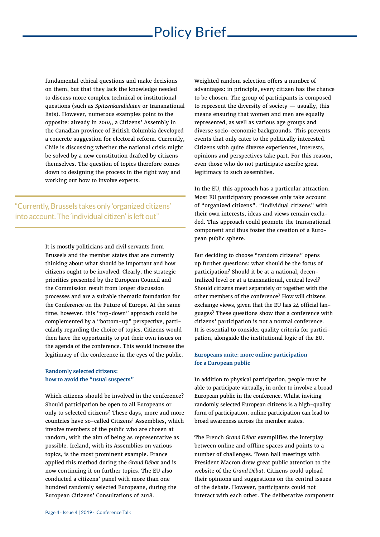fundamental ethical questions and make decisions on them, but that they lack the knowledge needed to discuss more complex technical or institutional questions (such as *Spitzenkandidaten* or transnational lists). However, numerous examples point to the opposite: already in 2004, a Citizens' Assembly in the Canadian province of British Columbia developed a concrete suggestion for electoral reform. Currently, Chile is discussing whether the national crisis might be solved by a new constitution drafted by citizens themselves. The question of topics therefore comes down to designing the process in the right way and working out how to involve experts.

"Currently, Brussels takes only 'organized citizens' into account. The 'individual citizen' is left out"

> It is mostly politicians and civil servants from Brussels and the member states that are currently thinking about what should be important and how citizens ought to be involved. Clearly, the strategic priorities presented by the European Council and the Commission result from longer discussion processes and are a suitable thematic foundation for the Conference on the Future of Europe. At the same time, however, this "top-down" approach could be complemented by a "bottom-up" perspective, particularly regarding the choice of topics. Citizens would then have the opportunity to put their own issues on the agenda of the conference. This would increase the legitimacy of the conference in the eyes of the public.

### **Randomly selected citizens: how to avoid the "usual suspects"**

Which citizens should be involved in the conference? Should participation be open to all Europeans or only to selected citizens? These days, more and more countries have so-called Citizens' Assemblies, which involve members of the public who are chosen at random, with the aim of being as representative as possible. Ireland, with its Assemblies on various topics, is the most prominent example. France applied this method during the *Grand Débat* and is now continuing it on further topics. The EU also conducted a citizens' panel with more than one hundred randomly selected Europeans, during the European Citizens' Consultations of 2018.

Weighted random selection offers a number of advantages: in principle, every citizen has the chance to be chosen. The group of participants is composed to represent the diversity of society — usually, this means ensuring that women and men are equally represented, as well as various age groups and diverse socio-economic backgrounds. This prevents events that only cater to the politically interested. Citizens with quite diverse experiences, interests, opinions and perspectives take part. For this reason, even those who do not participate ascribe great legitimacy to such assemblies.

In the EU, this approach has a particular attraction. Most EU participatory processes only take account of "organized citizens". "Individual citizens" with their own interests, ideas and views remain excluded. This approach could promote the transnational component and thus foster the creation of a European public sphere.

But deciding to choose "random citizens" opens up further questions: what should be the focus of participation? Should it be at a national, decentralized level or at a transnational, central level? Should citizens meet separately or together with the other members of the conference? How will citizens exchange views, given that the EU has 24 official languages? These questions show that a conference with citizens' participation is not a normal conference. It is essential to consider quality criteria for participation, alongside the institutional logic of the EU.

### **Europeans unite: more online participation for a European public**

In addition to physical participation, people must be able to participate virtually, in order to involve a broad European public in the conference. Whilst inviting randomly selected European citizens is a high-quality form of participation, online participation can lead to broad awareness across the member states.

The French *Grand Débat* exemplifies the interplay between online and offline spaces and points to a number of challenges. Town hall meetings with President Macron drew great public attention to the website of the *Grand Débat*. Citizens could upload their opinions and suggestions on the central issues of the debate. However, participants could not interact with each other. The deliberative component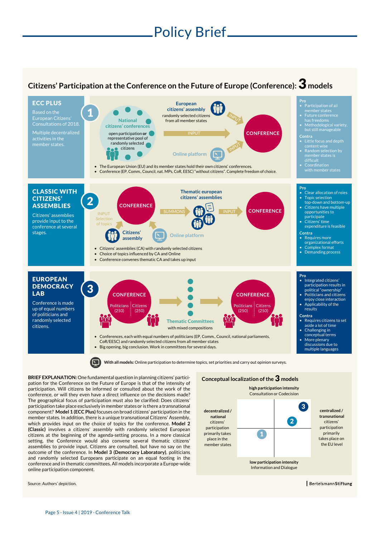## **Citizens' Participation at the Conference on the Future of Europe (Conference):** 3 **models**



**BRIEF EXPLANATION:** One fundamental question in planning citizens' partici-<br> **Conceptual localization of the 3 models** pation for the Conference on the Future of Europe is that of the intensity of participation. Will citizens be informed or consulted about the work of the conference, or will they even have a direct influence on the decisions made? The geographical focus of participation must also be clarified: Does citizens' participation take place exclusively in member states or is there a transnational component? **Model 1 (ECC Plus)** focuses on broad citizens' participation in the member states. In addition, there is a unique transnational Citizens' Assembly which provides input on the choice of topics for the conference. **Model 2 (Classic)** involves a citizens' assembly with randomly selected European citizens at the beginning of the agenda-setting process. In a more classical setting, the Conference would also convene several thematic citizens' assemblies to provide input. Citizens are consulted, but have no say on the outcome of the conference. In **Model 3 (Democracy Laboratory)**, politicians and randomly selected Europeans participate on an equal footing in the conference and in thematic committees. All models incorporate a Europe-wide online participation component.

Source: Authors' depiction.



BertelsmannStiftung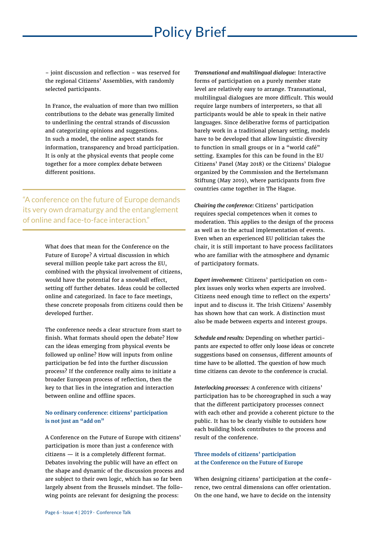– joint discussion and reflection – was reserved for the regional Citizens' Assemblies, with randomly selected participants.

In France, the evaluation of more than two million contributions to the debate was generally limited to underlining the central strands of discussion and categorizing opinions and suggestions. In such a model, the online aspect stands for information, transparency and broad participation. It is only at the physical events that people come together for a more complex debate between different positions.

"A conference on the future of Europe demands its very own dramaturgy and the entanglement of online and face-to-face interaction."

> What does that mean for the Conference on the Future of Europe? A virtual discussion in which several million people take part across the EU, combined with the physical involvement of citizens, would have the potential for a snowball effect, setting off further debates. Ideas could be collected online and categorized. In face to face meetings, these concrete proposals from citizens could then be developed further.

The conference needs a clear structure from start to finish. What formats should open the debate? How can the ideas emerging from physical events be followed up online? How will inputs from online participation be fed into the further discussion process? If the conference really aims to initiate a broader European process of reflection, then the key to that lies in the integration and interaction between online and offline spaces.

### **No ordinary conference: citizens' participation is not just an "add on"**

A Conference on the Future of Europe with citizens' participation is more than just a conference with citizens — it is a completely different format. Debates involving the public will have an effect on the shape and dynamic of the discussion process and are subject to their own logic, which has so far been largely absent from the Brussels mindset. The following points are relevant for designing the process:

*Transnational and multilingual dialogue:* Interactive forms of participation on a purely member state level are relatively easy to arrange. Transnational, multilingual dialogues are more difficult. This would require large numbers of interpreters, so that all participants would be able to speak in their native languages. Since deliberative forms of participation barely work in a traditional plenary setting, models have to be developed that allow linguistic diversity to function in small groups or in a "world café" setting. Examples for this can be found in the EU Citizens' Panel (May 2018) or the Citizens' Dialogue organized by the Commission and the Bertelsmann Stiftung (May 2019), where participants from five countries came together in The Hague.

*Chairing the conference:* Citizens' participation requires special competences when it comes to moderation. This applies to the design of the process as well as to the actual implementation of events. Even when an experienced EU politician takes the chair, it is still important to have process facilitators who are familiar with the atmosphere and dynamic of participatory formats.

*Expert involvement:* Citizens' participation on complex issues only works when experts are involved. Citizens need enough time to reflect on the experts' input and to discuss it. The Irish Citizens' Assembly has shown how that can work. A distinction must also be made between experts and interest groups.

*Schedule and results:* Depending on whether participants are expected to offer only loose ideas or concrete suggestions based on consensus, different amounts of time have to be allotted. The question of how much time citizens can devote to the conference is crucial.

*Interlocking processes:* A conference with citizens' participation has to be choreographed in such a way that the different participatory processes connect with each other and provide a coherent picture to the public. It has to be clearly visible to outsiders how each building block contributes to the process and result of the conference.

### **Three models of citizens' participation at the Conference on the Future of Europe**

When designing citizens' participation at the conference, two central dimensions can offer orientation. On the one hand, we have to decide on the intensity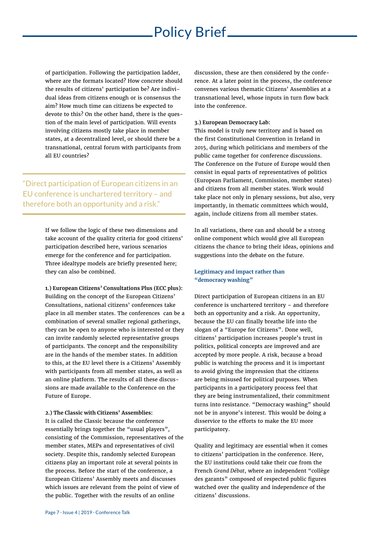of participation. Following the participation ladder, where are the formats located? How concrete should the results of citizens' participation be? Are individual ideas from citizens enough or is consensus the aim? How much time can citizens be expected to devote to this? On the other hand, there is the question of the main level of participation. Will events involving citizens mostly take place in member states, at a decentralized level, or should there be a transnational, central forum with participants from all EU countries?

"Direct participation of European citizens in an EU conference is unchartered territory – and therefore both an opportunity and a risk."

> If we follow the logic of these two dimensions and take account of the quality criteria for good citizens' participation described here, various scenarios emerge for the conference and for participation. Three idealtype models are briefly presented here; they can also be combined.

**1.) European Citizens' Consultations Plus (ECC plus):** Building on the concept of the European Citizens' Consultations, national citizens' conferences take place in all member states. The conferences can be a combination of several smaller regional gatherings, they can be open to anyone who is interested or they can invite randomly selected representative groups of participants. The concept and the responsibility are in the hands of the member states. In addition to this, at the EU level there is a Citizens' Assembly with participants from all member states, as well as an online platform. The results of all these discussions are made available to the Conference on the Future of Europe.

**2.) The Classic with Citizens' Assemblies:**

It is called the Classic because the conference essentially brings together the "usual players", consisting of the Commission, representatives of the member states, MEPs and representatives of civil society. Despite this, randomly selected European citizens play an important role at several points in the process. Before the start of the conference, a European Citizens' Assembly meets and discusses which issues are relevant from the point of view of the public. Together with the results of an online

discussion, these are then considered by the conference. At a later point in the process, the conference convenes various thematic Citizens' Assemblies at a transnational level, whose inputs in turn flow back into the conference.

### **3.) European Democracy Lab:**

This model is truly new territory and is based on the first Constitutional Convention in Ireland in 2015, during which politicians and members of the public came together for conference discussions. The Conference on the Future of Europe would then consist in equal parts of representatives of politics (European Parliament, Commission, member states) and citizens from all member states. Work would take place not only in plenary sessions, but also, very importantly, in thematic committees which would, again, include citizens from all member states.

In all variations, there can and should be a strong online component which would give all European citizens the chance to bring their ideas, opinions and suggestions into the debate on the future.

### **Legitimacy and impact rather than "democracy washing"**

Direct participation of European citizens in an EU conference is unchartered territory – and therefore both an opportunity and a risk. An opportunity, because the EU can finally breathe life into the slogan of a "Europe for Citizens". Done well, citizens' participation increases people's trust in politics, political concepts are improved and are accepted by more people. A risk, because a broad public is watching the process and it is important to avoid giving the impression that the citizens are being misused for political purposes. When participants in a participatory process feel that they are being instrumentalized, their commitment turns into resistance. "Democracy washing" should not be in anyone's interest. This would be doing a disservice to the efforts to make the EU more participatory.

Quality and legitimacy are essential when it comes to citizens' participation in the conference. Here, the EU institutions could take their cue from the French *Grand Débat*, where an independent "collège des garants" composed of respected public figures watched over the quality and independence of the citizens' discussions.